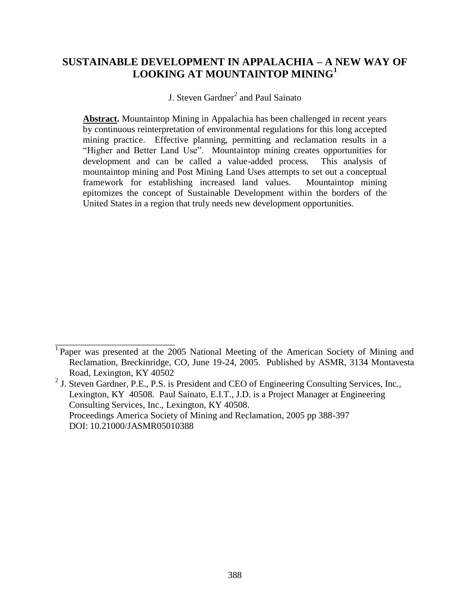# **SUSTAINABLE DEVELOPMENT IN APPALACHIA – A NEW WAY OF LOOKING AT MOUNTAINTOP MINING<sup>1</sup>**

J. Steven Gardner<sup>2</sup> and Paul Sainato

**Abstract.** Mountaintop Mining in Appalachia has been challenged in recent years by continuous reinterpretation of environmental regulations for this long accepted mining practice. Effective planning, permitting and reclamation results in a "Higher and Better Land Use". Mountaintop mining creates opportunities for development and can be called a value-added process. This analysis of mountaintop mining and Post Mining Land Uses attempts to set out a conceptual framework for establishing increased land values. Mountaintop mining epitomizes the concept of Sustainable Development within the borders of the United States in a region that truly needs new development opportunities.

\_\_\_\_\_\_\_\_\_\_\_\_\_\_\_\_\_\_\_\_\_\_\_\_\_\_ <sup>1</sup>Paper was presented at the 2005 National Meeting of the American Society of Mining and Reclamation, Breckinridge, CO, June 19-24, 2005. Published by ASMR, 3134 Montavesta Road, Lexington, KY 40502

 $<sup>2</sup>$  J. Steven Gardner, P.E., P.S. is President and CEO of Engineering Consulting Services, Inc.,</sup> Lexington, KY 40508. Paul Sainato, E.I.T., J.D. is a Project Manager at Engineering Consulting Services, Inc., Lexington, KY 40508. Proceedings America Society of Mining and Reclamation, 2005 pp 388-397 DOI: 10.21000/JASMR05010388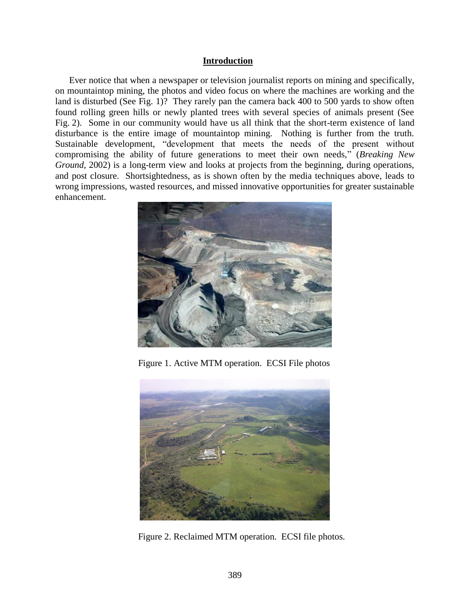#### **Introduction**

Ever notice that when a newspaper or television journalist reports on mining and specifically, on mountaintop mining, the photos and video focus on where the machines are working and the land is disturbed (See Fig. 1)? They rarely pan the camera back 400 to 500 yards to show often found rolling green hills or newly planted trees with several species of animals present (See Fig. 2). Some in our community would have us all think that the short-term existence of land disturbance is the entire image of mountaintop mining. Nothing is further from the truth. Sustainable development, "development that meets the needs of the present without compromising the ability of future generations to meet their own needs," (*Breaking New Ground,* 2002) is a long-term view and looks at projects from the beginning, during operations, and post closure. Shortsightedness, as is shown often by the media techniques above, leads to wrong impressions, wasted resources, and missed innovative opportunities for greater sustainable enhancement.



Figure 1. Active MTM operation. ECSI File photos



Figure 2. Reclaimed MTM operation. ECSI file photos.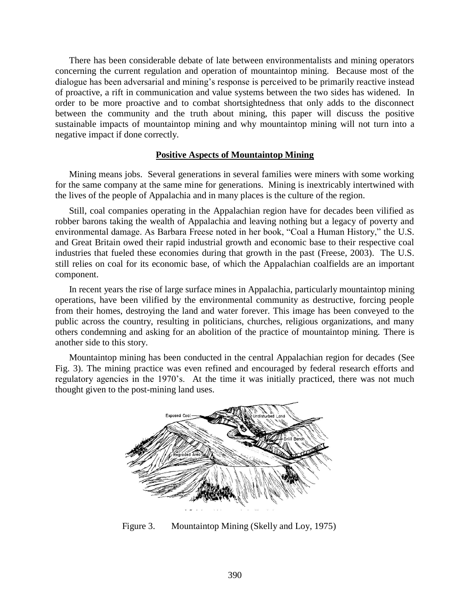There has been considerable debate of late between environmentalists and mining operators concerning the current regulation and operation of mountaintop mining. Because most of the dialogue has been adversarial and mining's response is perceived to be primarily reactive instead of proactive, a rift in communication and value systems between the two sides has widened. In order to be more proactive and to combat shortsightedness that only adds to the disconnect between the community and the truth about mining, this paper will discuss the positive sustainable impacts of mountaintop mining and why mountaintop mining will not turn into a negative impact if done correctly.

#### **Positive Aspects of Mountaintop Mining**

Mining means jobs. Several generations in several families were miners with some working for the same company at the same mine for generations. Mining is inextricably intertwined with the lives of the people of Appalachia and in many places is the culture of the region.

Still, coal companies operating in the Appalachian region have for decades been vilified as robber barons taking the wealth of Appalachia and leaving nothing but a legacy of poverty and environmental damage. As Barbara Freese noted in her book, "Coal a Human History," the U.S. and Great Britain owed their rapid industrial growth and economic base to their respective coal industries that fueled these economies during that growth in the past (Freese, 2003). The U.S. still relies on coal for its economic base, of which the Appalachian coalfields are an important component.

In recent years the rise of large surface mines in Appalachia, particularly mountaintop mining operations, have been vilified by the environmental community as destructive, forcing people from their homes, destroying the land and water forever. This image has been conveyed to the public across the country, resulting in politicians, churches, religious organizations, and many others condemning and asking for an abolition of the practice of mountaintop mining. There is another side to this story.

Mountaintop mining has been conducted in the central Appalachian region for decades (See Fig. 3). The mining practice was even refined and encouraged by federal research efforts and regulatory agencies in the 1970's. At the time it was initially practiced, there was not much thought given to the post-mining land uses.



Figure 3. Mountaintop Mining (Skelly and Loy, 1975)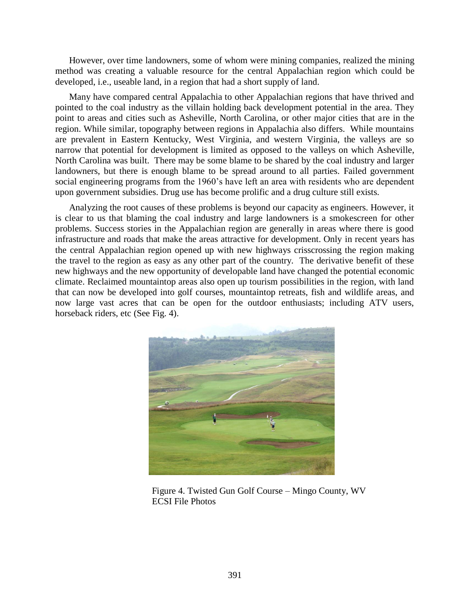However, over time landowners, some of whom were mining companies, realized the mining method was creating a valuable resource for the central Appalachian region which could be developed, i.e., useable land, in a region that had a short supply of land.

Many have compared central Appalachia to other Appalachian regions that have thrived and pointed to the coal industry as the villain holding back development potential in the area. They point to areas and cities such as Asheville, North Carolina, or other major cities that are in the region. While similar, topography between regions in Appalachia also differs. While mountains are prevalent in Eastern Kentucky, West Virginia, and western Virginia, the valleys are so narrow that potential for development is limited as opposed to the valleys on which Asheville, North Carolina was built. There may be some blame to be shared by the coal industry and larger landowners, but there is enough blame to be spread around to all parties. Failed government social engineering programs from the 1960's have left an area with residents who are dependent upon government subsidies. Drug use has become prolific and a drug culture still exists.

Analyzing the root causes of these problems is beyond our capacity as engineers. However, it is clear to us that blaming the coal industry and large landowners is a smokescreen for other problems. Success stories in the Appalachian region are generally in areas where there is good infrastructure and roads that make the areas attractive for development. Only in recent years has the central Appalachian region opened up with new highways crisscrossing the region making the travel to the region as easy as any other part of the country. The derivative benefit of these new highways and the new opportunity of developable land have changed the potential economic climate. Reclaimed mountaintop areas also open up tourism possibilities in the region, with land that can now be developed into golf courses, mountaintop retreats, fish and wildlife areas, and now large vast acres that can be open for the outdoor enthusiasts; including ATV users, horseback riders, etc (See Fig. 4).



Figure 4. Twisted Gun Golf Course – Mingo County, WV ECSI File Photos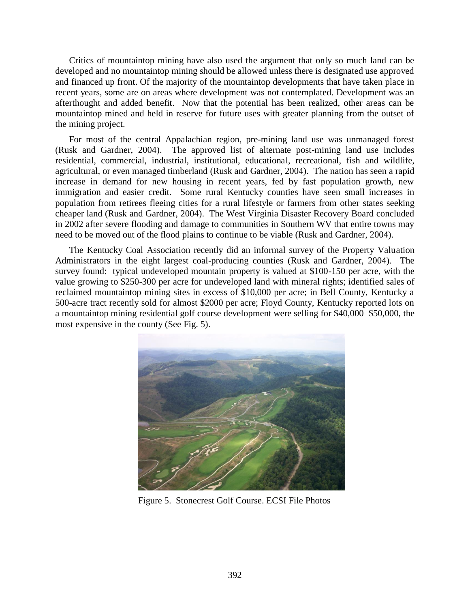Critics of mountaintop mining have also used the argument that only so much land can be developed and no mountaintop mining should be allowed unless there is designated use approved and financed up front. Of the majority of the mountaintop developments that have taken place in recent years, some are on areas where development was not contemplated. Development was an afterthought and added benefit. Now that the potential has been realized, other areas can be mountaintop mined and held in reserve for future uses with greater planning from the outset of the mining project.

For most of the central Appalachian region, pre-mining land use was unmanaged forest (Rusk and Gardner, 2004). The approved list of alternate post-mining land use includes residential, commercial, industrial, institutional, educational, recreational, fish and wildlife, agricultural, or even managed timberland (Rusk and Gardner, 2004). The nation has seen a rapid increase in demand for new housing in recent years, fed by fast population growth, new immigration and easier credit. Some rural Kentucky counties have seen small increases in population from retirees fleeing cities for a rural lifestyle or farmers from other states seeking cheaper land (Rusk and Gardner, 2004). The West Virginia Disaster Recovery Board concluded in 2002 after severe flooding and damage to communities in Southern WV that entire towns may need to be moved out of the flood plains to continue to be viable (Rusk and Gardner, 2004).

The Kentucky Coal Association recently did an informal survey of the Property Valuation Administrators in the eight largest coal-producing counties (Rusk and Gardner, 2004). The survey found: typical undeveloped mountain property is valued at \$100-150 per acre, with the value growing to \$250-300 per acre for undeveloped land with mineral rights; identified sales of reclaimed mountaintop mining sites in excess of \$10,000 per acre; in Bell County, Kentucky a 500-acre tract recently sold for almost \$2000 per acre; Floyd County, Kentucky reported lots on a mountaintop mining residential golf course development were selling for \$40,000–\$50,000, the most expensive in the county (See Fig. 5).



Figure 5. Stonecrest Golf Course. ECSI File Photos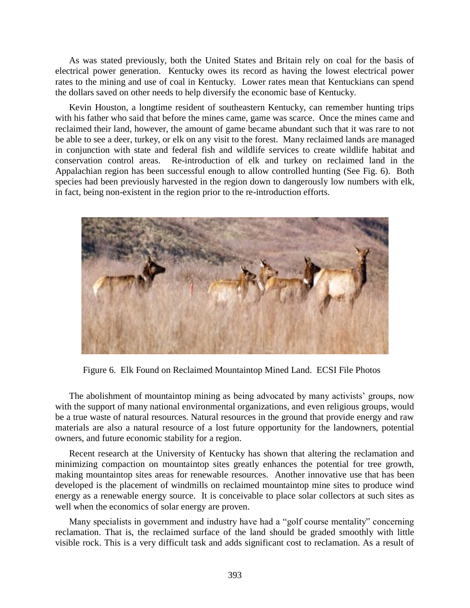As was stated previously, both the United States and Britain rely on coal for the basis of electrical power generation. Kentucky owes its record as having the lowest electrical power rates to the mining and use of coal in Kentucky. Lower rates mean that Kentuckians can spend the dollars saved on other needs to help diversify the economic base of Kentucky.

Kevin Houston, a longtime resident of southeastern Kentucky, can remember hunting trips with his father who said that before the mines came, game was scarce. Once the mines came and reclaimed their land, however, the amount of game became abundant such that it was rare to not be able to see a deer, turkey, or elk on any visit to the forest. Many reclaimed lands are managed in conjunction with state and federal fish and wildlife services to create wildlife habitat and conservation control areas. Re-introduction of elk and turkey on reclaimed land in the Appalachian region has been successful enough to allow controlled hunting (See Fig. 6). Both species had been previously harvested in the region down to dangerously low numbers with elk, in fact, being non-existent in the region prior to the re-introduction efforts.



Figure 6. Elk Found on Reclaimed Mountaintop Mined Land. ECSI File Photos

The abolishment of mountaintop mining as being advocated by many activists' groups, now with the support of many national environmental organizations, and even religious groups, would be a true waste of natural resources. Natural resources in the ground that provide energy and raw materials are also a natural resource of a lost future opportunity for the landowners, potential owners, and future economic stability for a region.

Recent research at the University of Kentucky has shown that altering the reclamation and minimizing compaction on mountaintop sites greatly enhances the potential for tree growth, making mountaintop sites areas for renewable resources. Another innovative use that has been developed is the placement of windmills on reclaimed mountaintop mine sites to produce wind energy as a renewable energy source. It is conceivable to place solar collectors at such sites as well when the economics of solar energy are proven.

Many specialists in government and industry have had a "golf course mentality" concerning reclamation. That is, the reclaimed surface of the land should be graded smoothly with little visible rock. This is a very difficult task and adds significant cost to reclamation. As a result of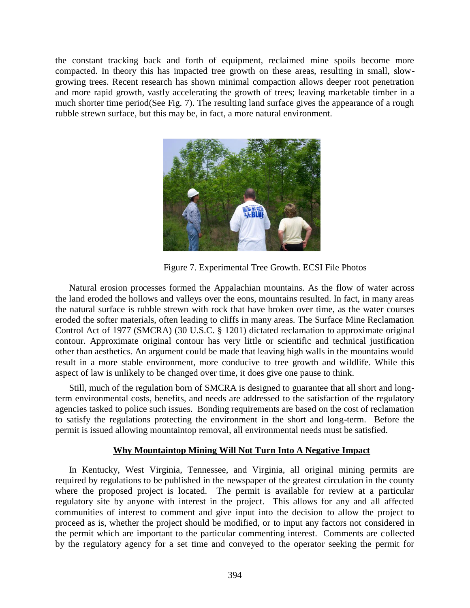the constant tracking back and forth of equipment, reclaimed mine spoils become more compacted. In theory this has impacted tree growth on these areas, resulting in small, slowgrowing trees. Recent research has shown minimal compaction allows deeper root penetration and more rapid growth, vastly accelerating the growth of trees; leaving marketable timber in a much shorter time period(See Fig. 7). The resulting land surface gives the appearance of a rough rubble strewn surface, but this may be, in fact, a more natural environment.



Figure 7. Experimental Tree Growth. ECSI File Photos

Natural erosion processes formed the Appalachian mountains. As the flow of water across the land eroded the hollows and valleys over the eons, mountains resulted. In fact, in many areas the natural surface is rubble strewn with rock that have broken over time, as the water courses eroded the softer materials, often leading to cliffs in many areas. The Surface Mine Reclamation Control Act of 1977 (SMCRA) (30 U.S.C. § 1201) dictated reclamation to approximate original contour. Approximate original contour has very little or scientific and technical justification other than aesthetics. An argument could be made that leaving high walls in the mountains would result in a more stable environment, more conducive to tree growth and wildlife. While this aspect of law is unlikely to be changed over time, it does give one pause to think.

Still, much of the regulation born of SMCRA is designed to guarantee that all short and longterm environmental costs, benefits, and needs are addressed to the satisfaction of the regulatory agencies tasked to police such issues. Bonding requirements are based on the cost of reclamation to satisfy the regulations protecting the environment in the short and long-term. Before the permit is issued allowing mountaintop removal, all environmental needs must be satisfied.

### **Why Mountaintop Mining Will Not Turn Into A Negative Impact**

In Kentucky, West Virginia, Tennessee, and Virginia, all original mining permits are required by regulations to be published in the newspaper of the greatest circulation in the county where the proposed project is located. The permit is available for review at a particular regulatory site by anyone with interest in the project. This allows for any and all affected communities of interest to comment and give input into the decision to allow the project to proceed as is, whether the project should be modified, or to input any factors not considered in the permit which are important to the particular commenting interest. Comments are collected by the regulatory agency for a set time and conveyed to the operator seeking the permit for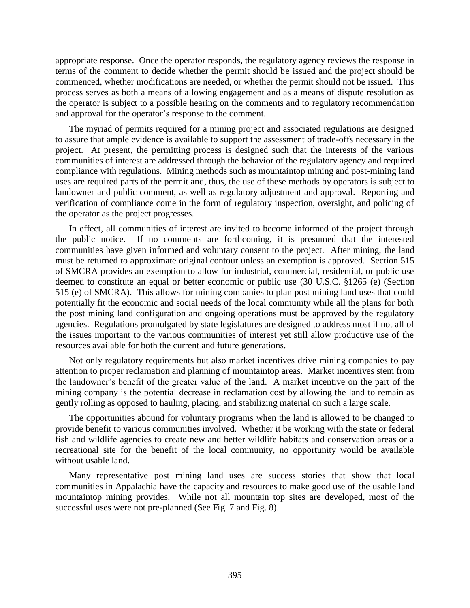appropriate response. Once the operator responds, the regulatory agency reviews the response in terms of the comment to decide whether the permit should be issued and the project should be commenced, whether modifications are needed, or whether the permit should not be issued. This process serves as both a means of allowing engagement and as a means of dispute resolution as the operator is subject to a possible hearing on the comments and to regulatory recommendation and approval for the operator's response to the comment.

The myriad of permits required for a mining project and associated regulations are designed to assure that ample evidence is available to support the assessment of trade-offs necessary in the project. At present, the permitting process is designed such that the interests of the various communities of interest are addressed through the behavior of the regulatory agency and required compliance with regulations. Mining methods such as mountaintop mining and post-mining land uses are required parts of the permit and, thus, the use of these methods by operators is subject to landowner and public comment, as well as regulatory adjustment and approval. Reporting and verification of compliance come in the form of regulatory inspection, oversight, and policing of the operator as the project progresses.

In effect, all communities of interest are invited to become informed of the project through the public notice. If no comments are forthcoming, it is presumed that the interested communities have given informed and voluntary consent to the project. After mining, the land must be returned to approximate original contour unless an exemption is approved. Section 515 of SMCRA provides an exemption to allow for industrial, commercial, residential, or public use deemed to constitute an equal or better economic or public use (30 U.S.C. §1265 (e) (Section 515 (e) of SMCRA). This allows for mining companies to plan post mining land uses that could potentially fit the economic and social needs of the local community while all the plans for both the post mining land configuration and ongoing operations must be approved by the regulatory agencies. Regulations promulgated by state legislatures are designed to address most if not all of the issues important to the various communities of interest yet still allow productive use of the resources available for both the current and future generations.

Not only regulatory requirements but also market incentives drive mining companies to pay attention to proper reclamation and planning of mountaintop areas. Market incentives stem from the landowner's benefit of the greater value of the land. A market incentive on the part of the mining company is the potential decrease in reclamation cost by allowing the land to remain as gently rolling as opposed to hauling, placing, and stabilizing material on such a large scale.

The opportunities abound for voluntary programs when the land is allowed to be changed to provide benefit to various communities involved. Whether it be working with the state or federal fish and wildlife agencies to create new and better wildlife habitats and conservation areas or a recreational site for the benefit of the local community, no opportunity would be available without usable land.

Many representative post mining land uses are success stories that show that local communities in Appalachia have the capacity and resources to make good use of the usable land mountaintop mining provides. While not all mountain top sites are developed, most of the successful uses were not pre-planned (See Fig. 7 and Fig. 8).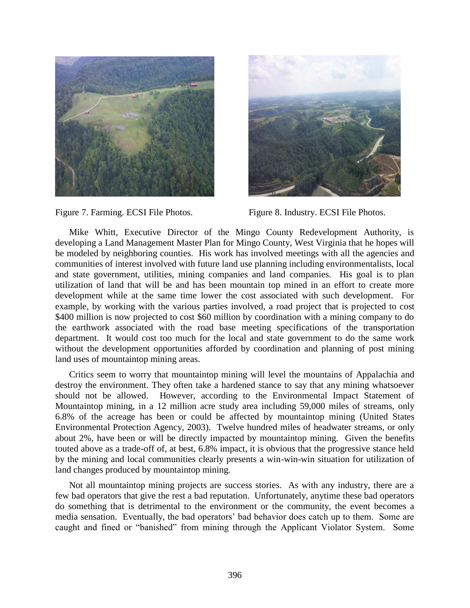





Mike Whitt, Executive Director of the Mingo County Redevelopment Authority, is developing a Land Management Master Plan for Mingo County, West Virginia that he hopes will be modeled by neighboring counties. His work has involved meetings with all the agencies and communities of interest involved with future land use planning including environmentalists, local and state government, utilities, mining companies and land companies. His goal is to plan utilization of land that will be and has been mountain top mined in an effort to create more development while at the same time lower the cost associated with such development. For example, by working with the various parties involved, a road project that is projected to cost \$400 million is now projected to cost \$60 million by coordination with a mining company to do the earthwork associated with the road base meeting specifications of the transportation department. It would cost too much for the local and state government to do the same work without the development opportunities afforded by coordination and planning of post mining land uses of mountaintop mining areas.

Critics seem to worry that mountaintop mining will level the mountains of Appalachia and destroy the environment. They often take a hardened stance to say that any mining whatsoever should not be allowed. However, according to the Environmental Impact Statement of Mountaintop mining, in a 12 million acre study area including 59,000 miles of streams, only 6.8% of the acreage has been or could be affected by mountaintop mining (United States Environmental Protection Agency, 2003). Twelve hundred miles of headwater streams, or only about 2%, have been or will be directly impacted by mountaintop mining. Given the benefits touted above as a trade-off of, at best, 6.8% impact, it is obvious that the progressive stance held by the mining and local communities clearly presents a win-win-win situation for utilization of land changes produced by mountaintop mining.

Not all mountaintop mining projects are success stories. As with any industry, there are a few bad operators that give the rest a bad reputation. Unfortunately, anytime these bad operators do something that is detrimental to the environment or the community, the event becomes a media sensation. Eventually, the bad operators' bad behavior does catch up to them. Some are caught and fined or "banished" from mining through the Applicant Violator System. Some